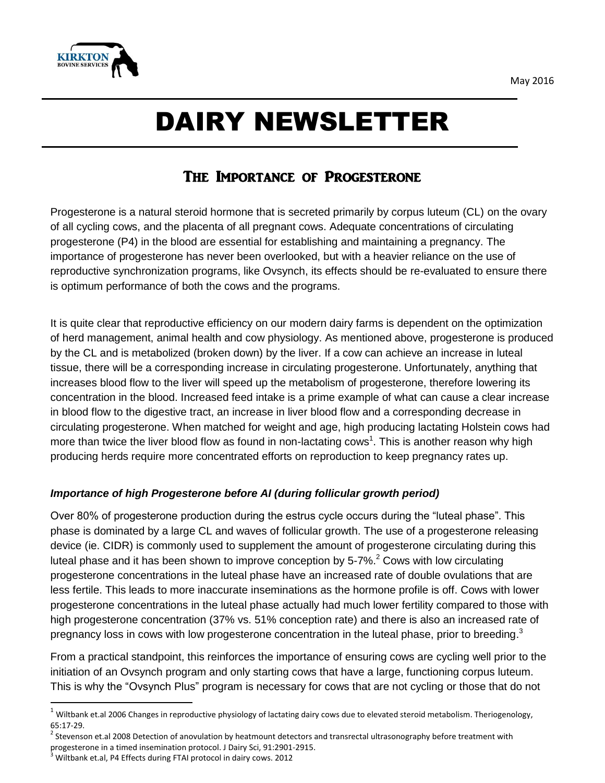

# DAIRY NEWSLETTER

# The Importance of Progesterone

Progesterone is a natural steroid hormone that is secreted primarily by corpus luteum (CL) on the ovary of all cycling cows, and the placenta of all pregnant cows. Adequate concentrations of circulating progesterone (P4) in the blood are essential for establishing and maintaining a pregnancy. The importance of progesterone has never been overlooked, but with a heavier reliance on the use of reproductive synchronization programs, like Ovsynch, its effects should be re-evaluated to ensure there is optimum performance of both the cows and the programs.

It is quite clear that reproductive efficiency on our modern dairy farms is dependent on the optimization of herd management, animal health and cow physiology. As mentioned above, progesterone is produced by the CL and is metabolized (broken down) by the liver. If a cow can achieve an increase in luteal tissue, there will be a corresponding increase in circulating progesterone. Unfortunately, anything that increases blood flow to the liver will speed up the metabolism of progesterone, therefore lowering its concentration in the blood. Increased feed intake is a prime example of what can cause a clear increase in blood flow to the digestive tract, an increase in liver blood flow and a corresponding decrease in circulating progesterone. When matched for weight and age, high producing lactating Holstein cows had more than twice the liver blood flow as found in non-lactating cows<sup>1</sup>. This is another reason why high producing herds require more concentrated efforts on reproduction to keep pregnancy rates up.

## *Importance of high Progesterone before AI (during follicular growth period)*

Over 80% of progesterone production during the estrus cycle occurs during the "luteal phase". This phase is dominated by a large CL and waves of follicular growth. The use of a progesterone releasing device (ie. CIDR) is commonly used to supplement the amount of progesterone circulating during this luteal phase and it has been shown to improve conception by  $5\text{-}7\%$ <sup>2</sup> Cows with low circulating progesterone concentrations in the luteal phase have an increased rate of double ovulations that are less fertile. This leads to more inaccurate inseminations as the hormone profile is off. Cows with lower progesterone concentrations in the luteal phase actually had much lower fertility compared to those with high progesterone concentration (37% vs. 51% conception rate) and there is also an increased rate of pregnancy loss in cows with low progesterone concentration in the luteal phase, prior to breeding.<sup>3</sup>

From a practical standpoint, this reinforces the importance of ensuring cows are cycling well prior to the initiation of an Ovsynch program and only starting cows that have a large, functioning corpus luteum. This is why the "Ovsynch Plus" program is necessary for cows that are not cycling or those that do not

 $\overline{\phantom{a}}$ 

 $^1$  Wiltbank et.al 2006 Changes in reproductive physiology of lactating dairy cows due to elevated steroid metabolism. Theriogenology, 65:17-29.

 $^2$  Stevenson et.al 2008 Detection of anovulation by heatmount detectors and transrectal ultrasonography before treatment with progesterone in a timed insemination protocol. J Dairy Sci, 91:2901-2915.

<sup>3</sup> Wiltbank et.al, P4 Effects during FTAI protocol in dairy cows. 2012